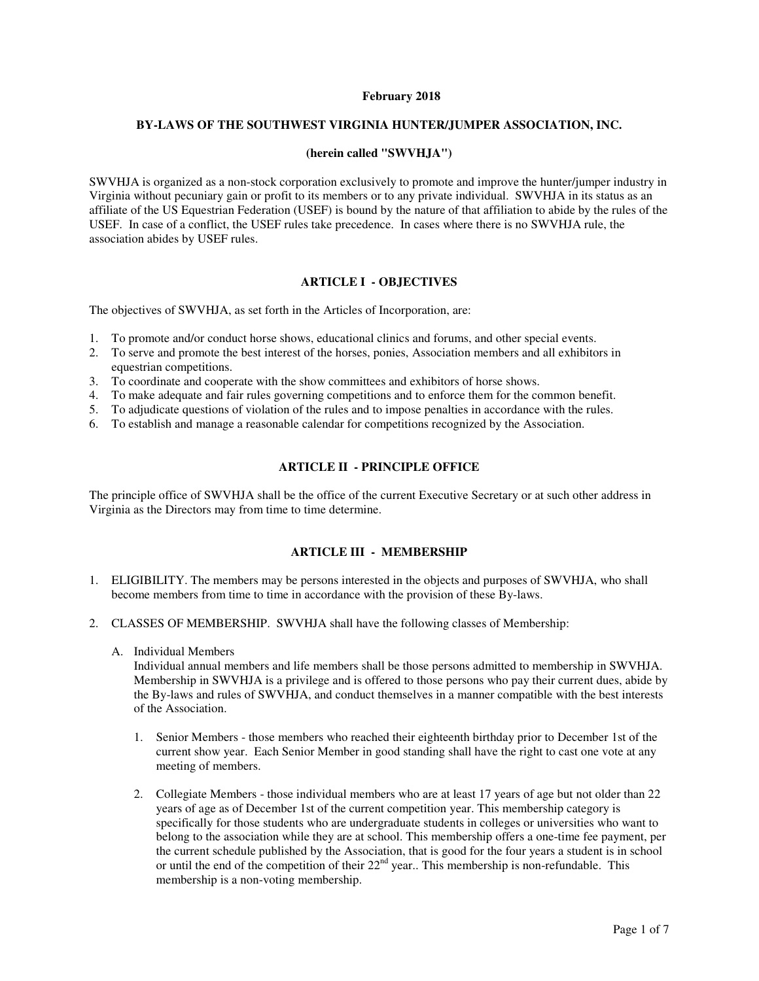### **February 2018**

### **BY-LAWS OF THE SOUTHWEST VIRGINIA HUNTER/JUMPER ASSOCIATION, INC.**

## **(herein called "SWVHJA")**

SWVHJA is organized as a non-stock corporation exclusively to promote and improve the hunter/jumper industry in Virginia without pecuniary gain or profit to its members or to any private individual. SWVHJA in its status as an affiliate of the US Equestrian Federation (USEF) is bound by the nature of that affiliation to abide by the rules of the USEF. In case of a conflict, the USEF rules take precedence. In cases where there is no SWVHJA rule, the association abides by USEF rules.

# **ARTICLE I - OBJECTIVES**

The objectives of SWVHJA, as set forth in the Articles of Incorporation, are:

- 1. To promote and/or conduct horse shows, educational clinics and forums, and other special events.
- 2. To serve and promote the best interest of the horses, ponies, Association members and all exhibitors in equestrian competitions.
- 3. To coordinate and cooperate with the show committees and exhibitors of horse shows.
- 4. To make adequate and fair rules governing competitions and to enforce them for the common benefit.
- 5. To adjudicate questions of violation of the rules and to impose penalties in accordance with the rules.
- 6. To establish and manage a reasonable calendar for competitions recognized by the Association.

# **ARTICLE II - PRINCIPLE OFFICE**

The principle office of SWVHJA shall be the office of the current Executive Secretary or at such other address in Virginia as the Directors may from time to time determine.

# **ARTICLE III - MEMBERSHIP**

- 1. ELIGIBILITY. The members may be persons interested in the objects and purposes of SWVHJA, who shall become members from time to time in accordance with the provision of these By-laws.
- 2. CLASSES OF MEMBERSHIP. SWVHJA shall have the following classes of Membership:
	- A. Individual Members

Individual annual members and life members shall be those persons admitted to membership in SWVHJA. Membership in SWVHJA is a privilege and is offered to those persons who pay their current dues, abide by the By-laws and rules of SWVHJA, and conduct themselves in a manner compatible with the best interests of the Association.

- 1. Senior Members those members who reached their eighteenth birthday prior to December 1st of the current show year. Each Senior Member in good standing shall have the right to cast one vote at any meeting of members.
- 2. Collegiate Members those individual members who are at least 17 years of age but not older than 22 years of age as of December 1st of the current competition year. This membership category is specifically for those students who are undergraduate students in colleges or universities who want to belong to the association while they are at school. This membership offers a one-time fee payment, per the current schedule published by the Association, that is good for the four years a student is in school or until the end of the competition of their  $22<sup>nd</sup>$  year.. This membership is non-refundable. This membership is a non-voting membership.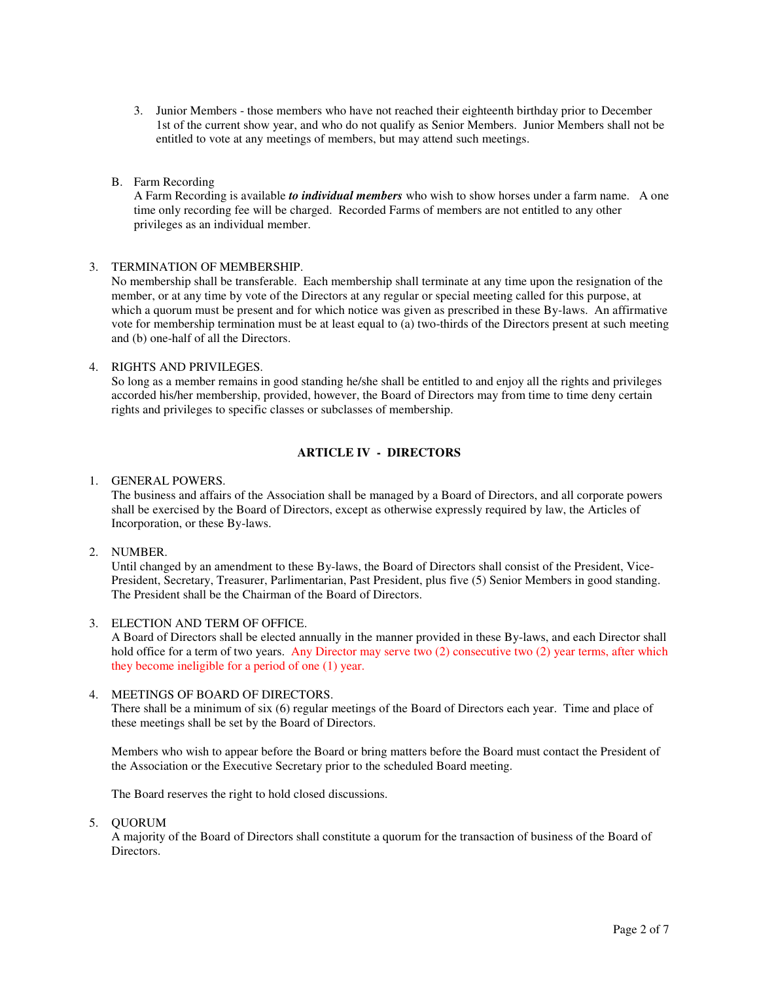- 3. Junior Members those members who have not reached their eighteenth birthday prior to December 1st of the current show year, and who do not qualify as Senior Members. Junior Members shall not be entitled to vote at any meetings of members, but may attend such meetings.
- B. Farm Recording

A Farm Recording is available *to individual members* who wish to show horses under a farm name. A one time only recording fee will be charged. Recorded Farms of members are not entitled to any other privileges as an individual member.

### 3. TERMINATION OF MEMBERSHIP.

No membership shall be transferable. Each membership shall terminate at any time upon the resignation of the member, or at any time by vote of the Directors at any regular or special meeting called for this purpose, at which a quorum must be present and for which notice was given as prescribed in these By-laws. An affirmative vote for membership termination must be at least equal to (a) two-thirds of the Directors present at such meeting and (b) one-half of all the Directors.

## 4. RIGHTS AND PRIVILEGES.

So long as a member remains in good standing he/she shall be entitled to and enjoy all the rights and privileges accorded his/her membership, provided, however, the Board of Directors may from time to time deny certain rights and privileges to specific classes or subclasses of membership.

# **ARTICLE IV - DIRECTORS**

## 1. GENERAL POWERS.

The business and affairs of the Association shall be managed by a Board of Directors, and all corporate powers shall be exercised by the Board of Directors, except as otherwise expressly required by law, the Articles of Incorporation, or these By-laws.

# 2. NUMBER.

Until changed by an amendment to these By-laws, the Board of Directors shall consist of the President, Vice-President, Secretary, Treasurer, Parlimentarian, Past President, plus five (5) Senior Members in good standing. The President shall be the Chairman of the Board of Directors.

### 3. ELECTION AND TERM OF OFFICE.

A Board of Directors shall be elected annually in the manner provided in these By-laws, and each Director shall hold office for a term of two years. Any Director may serve two (2) consecutive two (2) year terms, after which they become ineligible for a period of one (1) year.

### 4. MEETINGS OF BOARD OF DIRECTORS.

There shall be a minimum of six (6) regular meetings of the Board of Directors each year. Time and place of these meetings shall be set by the Board of Directors.

Members who wish to appear before the Board or bring matters before the Board must contact the President of the Association or the Executive Secretary prior to the scheduled Board meeting.

The Board reserves the right to hold closed discussions.

5. QUORUM

A majority of the Board of Directors shall constitute a quorum for the transaction of business of the Board of Directors.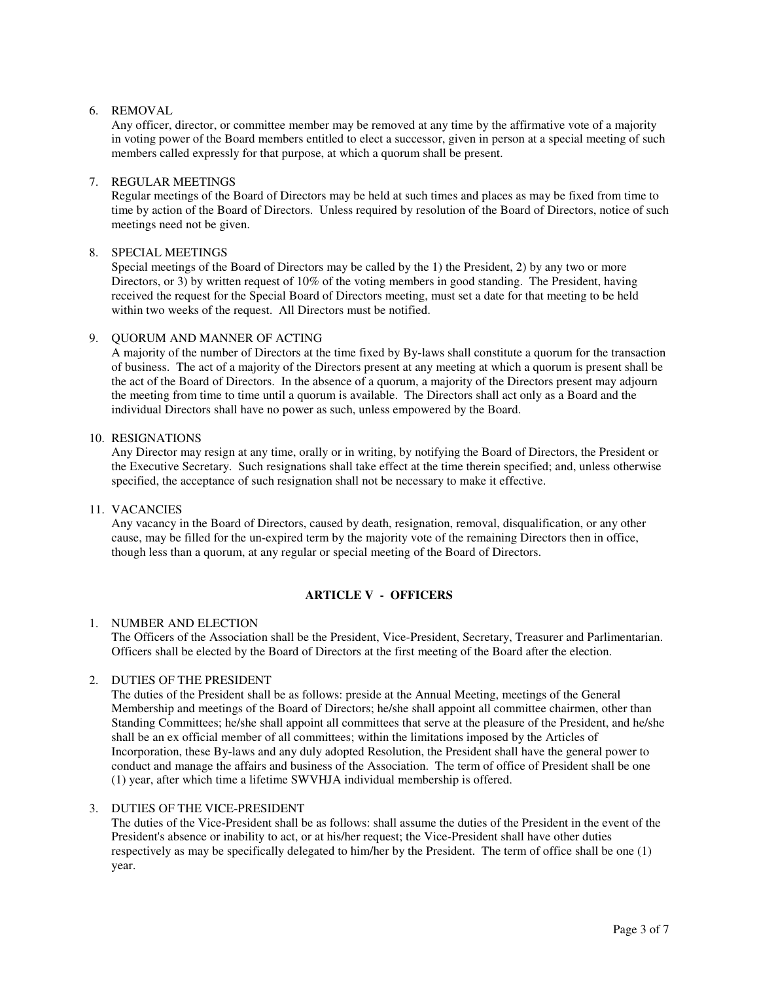### 6. REMOVAL

Any officer, director, or committee member may be removed at any time by the affirmative vote of a majority in voting power of the Board members entitled to elect a successor, given in person at a special meeting of such members called expressly for that purpose, at which a quorum shall be present.

### 7. REGULAR MEETINGS

Regular meetings of the Board of Directors may be held at such times and places as may be fixed from time to time by action of the Board of Directors. Unless required by resolution of the Board of Directors, notice of such meetings need not be given.

## 8. SPECIAL MEETINGS

Special meetings of the Board of Directors may be called by the 1) the President, 2) by any two or more Directors, or 3) by written request of 10% of the voting members in good standing. The President, having received the request for the Special Board of Directors meeting, must set a date for that meeting to be held within two weeks of the request. All Directors must be notified.

## 9. QUORUM AND MANNER OF ACTING

A majority of the number of Directors at the time fixed by By-laws shall constitute a quorum for the transaction of business. The act of a majority of the Directors present at any meeting at which a quorum is present shall be the act of the Board of Directors. In the absence of a quorum, a majority of the Directors present may adjourn the meeting from time to time until a quorum is available. The Directors shall act only as a Board and the individual Directors shall have no power as such, unless empowered by the Board.

### 10. RESIGNATIONS

Any Director may resign at any time, orally or in writing, by notifying the Board of Directors, the President or the Executive Secretary. Such resignations shall take effect at the time therein specified; and, unless otherwise specified, the acceptance of such resignation shall not be necessary to make it effective.

## 11. VACANCIES

Any vacancy in the Board of Directors, caused by death, resignation, removal, disqualification, or any other cause, may be filled for the un-expired term by the majority vote of the remaining Directors then in office, though less than a quorum, at any regular or special meeting of the Board of Directors.

# **ARTICLE V - OFFICERS**

### 1. NUMBER AND ELECTION

The Officers of the Association shall be the President, Vice-President, Secretary, Treasurer and Parlimentarian. Officers shall be elected by the Board of Directors at the first meeting of the Board after the election.

# 2. DUTIES OF THE PRESIDENT

The duties of the President shall be as follows: preside at the Annual Meeting, meetings of the General Membership and meetings of the Board of Directors; he/she shall appoint all committee chairmen, other than Standing Committees; he/she shall appoint all committees that serve at the pleasure of the President, and he/she shall be an ex official member of all committees; within the limitations imposed by the Articles of Incorporation, these By-laws and any duly adopted Resolution, the President shall have the general power to conduct and manage the affairs and business of the Association. The term of office of President shall be one (1) year, after which time a lifetime SWVHJA individual membership is offered.

### 3. DUTIES OF THE VICE-PRESIDENT

The duties of the Vice-President shall be as follows: shall assume the duties of the President in the event of the President's absence or inability to act, or at his/her request; the Vice-President shall have other duties respectively as may be specifically delegated to him/her by the President. The term of office shall be one (1) year.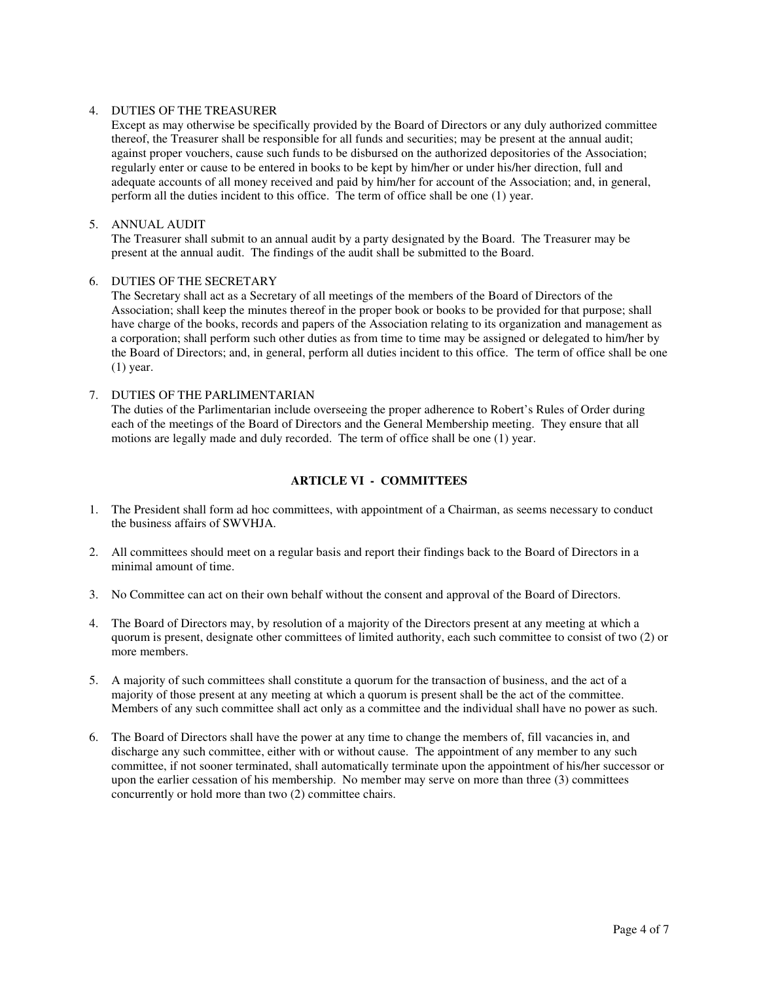## 4. DUTIES OF THE TREASURER

Except as may otherwise be specifically provided by the Board of Directors or any duly authorized committee thereof, the Treasurer shall be responsible for all funds and securities; may be present at the annual audit; against proper vouchers, cause such funds to be disbursed on the authorized depositories of the Association; regularly enter or cause to be entered in books to be kept by him/her or under his/her direction, full and adequate accounts of all money received and paid by him/her for account of the Association; and, in general, perform all the duties incident to this office. The term of office shall be one (1) year.

# 5. ANNUAL AUDIT

The Treasurer shall submit to an annual audit by a party designated by the Board. The Treasurer may be present at the annual audit. The findings of the audit shall be submitted to the Board.

### 6. DUTIES OF THE SECRETARY

The Secretary shall act as a Secretary of all meetings of the members of the Board of Directors of the Association; shall keep the minutes thereof in the proper book or books to be provided for that purpose; shall have charge of the books, records and papers of the Association relating to its organization and management as a corporation; shall perform such other duties as from time to time may be assigned or delegated to him/her by the Board of Directors; and, in general, perform all duties incident to this office. The term of office shall be one (1) year.

# 7. DUTIES OF THE PARLIMENTARIAN The duties of the Parlimentarian include overseeing the proper adherence to Robert's Rules of Order during each of the meetings of the Board of Directors and the General Membership meeting. They ensure that all motions are legally made and duly recorded. The term of office shall be one (1) year.

# **ARTICLE VI - COMMITTEES**

- 1. The President shall form ad hoc committees, with appointment of a Chairman, as seems necessary to conduct the business affairs of SWVHJA.
- 2. All committees should meet on a regular basis and report their findings back to the Board of Directors in a minimal amount of time.
- 3. No Committee can act on their own behalf without the consent and approval of the Board of Directors.
- 4. The Board of Directors may, by resolution of a majority of the Directors present at any meeting at which a quorum is present, designate other committees of limited authority, each such committee to consist of two (2) or more members.
- 5. A majority of such committees shall constitute a quorum for the transaction of business, and the act of a majority of those present at any meeting at which a quorum is present shall be the act of the committee. Members of any such committee shall act only as a committee and the individual shall have no power as such.
- 6. The Board of Directors shall have the power at any time to change the members of, fill vacancies in, and discharge any such committee, either with or without cause. The appointment of any member to any such committee, if not sooner terminated, shall automatically terminate upon the appointment of his/her successor or upon the earlier cessation of his membership. No member may serve on more than three (3) committees concurrently or hold more than two (2) committee chairs.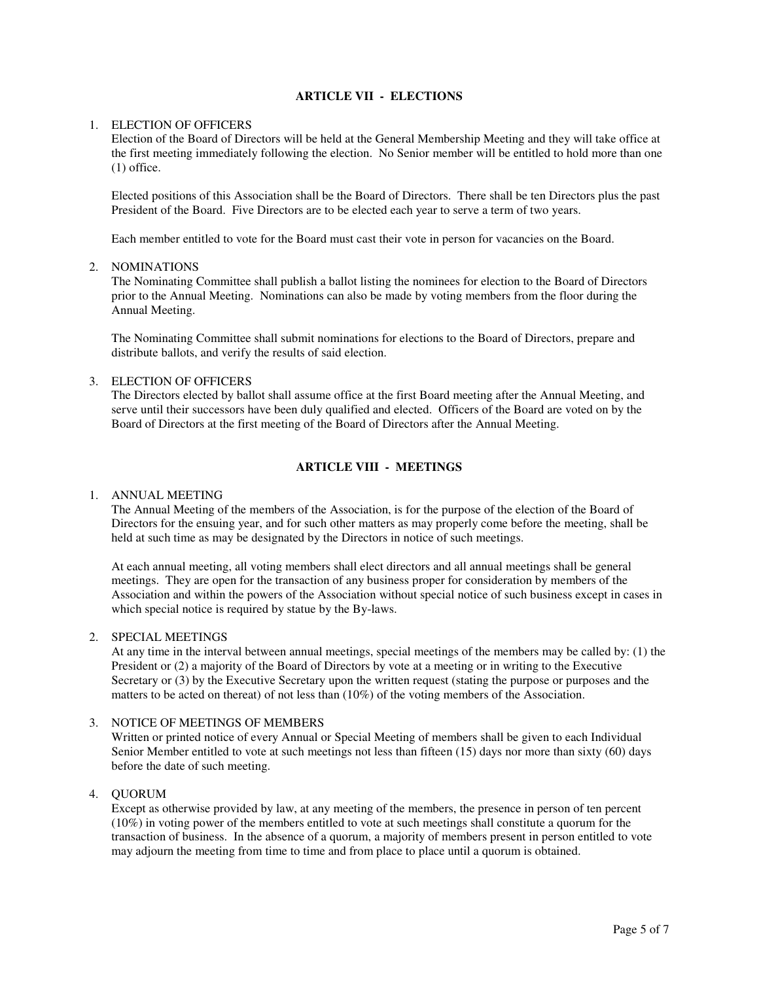# **ARTICLE VII - ELECTIONS**

### 1. ELECTION OF OFFICERS

Election of the Board of Directors will be held at the General Membership Meeting and they will take office at the first meeting immediately following the election. No Senior member will be entitled to hold more than one (1) office.

Elected positions of this Association shall be the Board of Directors. There shall be ten Directors plus the past President of the Board. Five Directors are to be elected each year to serve a term of two years.

Each member entitled to vote for the Board must cast their vote in person for vacancies on the Board.

## 2. NOMINATIONS

The Nominating Committee shall publish a ballot listing the nominees for election to the Board of Directors prior to the Annual Meeting. Nominations can also be made by voting members from the floor during the Annual Meeting.

The Nominating Committee shall submit nominations for elections to the Board of Directors, prepare and distribute ballots, and verify the results of said election.

# 3. ELECTION OF OFFICERS

The Directors elected by ballot shall assume office at the first Board meeting after the Annual Meeting, and serve until their successors have been duly qualified and elected. Officers of the Board are voted on by the Board of Directors at the first meeting of the Board of Directors after the Annual Meeting.

# **ARTICLE VIII - MEETINGS**

## 1. ANNUAL MEETING

The Annual Meeting of the members of the Association, is for the purpose of the election of the Board of Directors for the ensuing year, and for such other matters as may properly come before the meeting, shall be held at such time as may be designated by the Directors in notice of such meetings.

At each annual meeting, all voting members shall elect directors and all annual meetings shall be general meetings. They are open for the transaction of any business proper for consideration by members of the Association and within the powers of the Association without special notice of such business except in cases in which special notice is required by statue by the By-laws.

### 2. SPECIAL MEETINGS

At any time in the interval between annual meetings, special meetings of the members may be called by: (1) the President or (2) a majority of the Board of Directors by vote at a meeting or in writing to the Executive Secretary or (3) by the Executive Secretary upon the written request (stating the purpose or purposes and the matters to be acted on thereat) of not less than (10%) of the voting members of the Association.

### 3. NOTICE OF MEETINGS OF MEMBERS

Written or printed notice of every Annual or Special Meeting of members shall be given to each Individual Senior Member entitled to vote at such meetings not less than fifteen (15) days nor more than sixty (60) days before the date of such meeting.

4. QUORUM

Except as otherwise provided by law, at any meeting of the members, the presence in person of ten percent (10%) in voting power of the members entitled to vote at such meetings shall constitute a quorum for the transaction of business. In the absence of a quorum, a majority of members present in person entitled to vote may adjourn the meeting from time to time and from place to place until a quorum is obtained.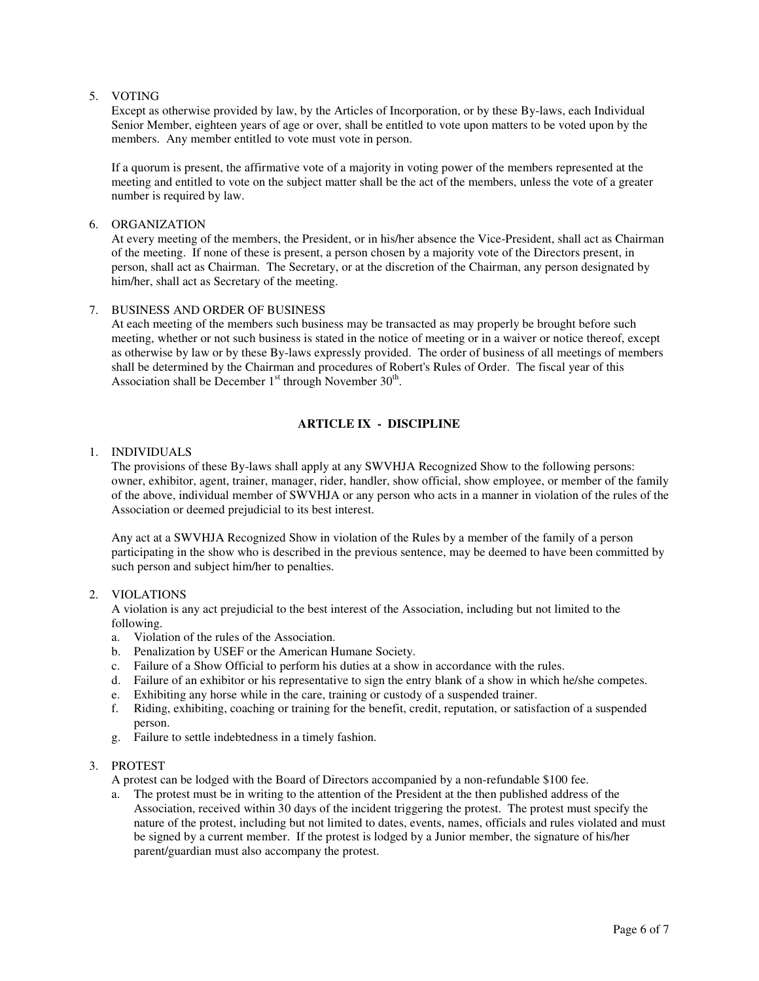## 5. VOTING

Except as otherwise provided by law, by the Articles of Incorporation, or by these By-laws, each Individual Senior Member, eighteen years of age or over, shall be entitled to vote upon matters to be voted upon by the members. Any member entitled to vote must vote in person.

If a quorum is present, the affirmative vote of a majority in voting power of the members represented at the meeting and entitled to vote on the subject matter shall be the act of the members, unless the vote of a greater number is required by law.

## 6. ORGANIZATION

At every meeting of the members, the President, or in his/her absence the Vice-President, shall act as Chairman of the meeting. If none of these is present, a person chosen by a majority vote of the Directors present, in person, shall act as Chairman. The Secretary, or at the discretion of the Chairman, any person designated by him/her, shall act as Secretary of the meeting.

## 7. BUSINESS AND ORDER OF BUSINESS

At each meeting of the members such business may be transacted as may properly be brought before such meeting, whether or not such business is stated in the notice of meeting or in a waiver or notice thereof, except as otherwise by law or by these By-laws expressly provided. The order of business of all meetings of members shall be determined by the Chairman and procedures of Robert's Rules of Order. The fiscal year of this Association shall be December  $1<sup>st</sup>$  through November  $30<sup>th</sup>$ .

# **ARTICLE IX - DISCIPLINE**

## 1. INDIVIDUALS

The provisions of these By-laws shall apply at any SWVHJA Recognized Show to the following persons: owner, exhibitor, agent, trainer, manager, rider, handler, show official, show employee, or member of the family of the above, individual member of SWVHJA or any person who acts in a manner in violation of the rules of the Association or deemed prejudicial to its best interest.

Any act at a SWVHJA Recognized Show in violation of the Rules by a member of the family of a person participating in the show who is described in the previous sentence, may be deemed to have been committed by such person and subject him/her to penalties.

### 2. VIOLATIONS

A violation is any act prejudicial to the best interest of the Association, including but not limited to the following.

- a. Violation of the rules of the Association.
- b. Penalization by USEF or the American Humane Society.
- c. Failure of a Show Official to perform his duties at a show in accordance with the rules.
- d. Failure of an exhibitor or his representative to sign the entry blank of a show in which he/she competes.
- e. Exhibiting any horse while in the care, training or custody of a suspended trainer.
- f. Riding, exhibiting, coaching or training for the benefit, credit, reputation, or satisfaction of a suspended person.
- g. Failure to settle indebtedness in a timely fashion.

### 3. PROTEST

A protest can be lodged with the Board of Directors accompanied by a non-refundable \$100 fee.

a. The protest must be in writing to the attention of the President at the then published address of the Association, received within 30 days of the incident triggering the protest. The protest must specify the nature of the protest, including but not limited to dates, events, names, officials and rules violated and must be signed by a current member. If the protest is lodged by a Junior member, the signature of his/her parent/guardian must also accompany the protest.